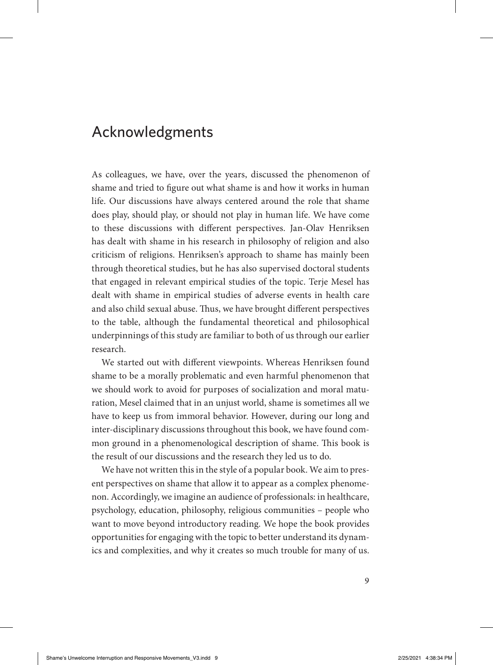## Acknowledgments

As colleagues, we have, over the years, discussed the phenomenon of shame and tried to figure out what shame is and how it works in human life. Our discussions have always centered around the role that shame does play, should play, or should not play in human life. We have come to these discussions with different perspectives. Jan-Olav Henriksen has dealt with shame in his research in philosophy of religion and also criticism of religions. Henriksen's approach to shame has mainly been through theoretical studies, but he has also supervised doctoral students that engaged in relevant empirical studies of the topic. Terje Mesel has dealt with shame in empirical studies of adverse events in health care and also child sexual abuse. Thus, we have brought different perspectives to the table, although the fundamental theoretical and philosophical underpinnings of this study are familiar to both of us through our earlier research.

We started out with different viewpoints. Whereas Henriksen found shame to be a morally problematic and even harmful phenomenon that we should work to avoid for purposes of socialization and moral maturation, Mesel claimed that in an unjust world, shame is sometimes all we have to keep us from immoral behavior. However, during our long and inter-disciplinary discussions throughout this book, we have found common ground in a phenomenological description of shame. This book is the result of our discussions and the research they led us to do.

We have not written this in the style of a popular book. We aim to present perspectives on shame that allow it to appear as a complex phenomenon. Accordingly, we imagine an audience of professionals: in healthcare, psychology, education, philosophy, religious communities – people who want to move beyond introductory reading. We hope the book provides opportunities for engaging with the topic to better understand its dynamics and complexities, and why it creates so much trouble for many of us.